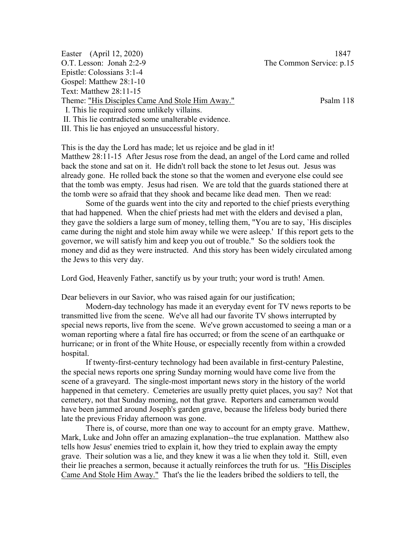| Easter (April 12, 2020)                         | 1847                     |
|-------------------------------------------------|--------------------------|
| O.T. Lesson: Jonah 2:2-9                        | The Common Service: p.15 |
| Epistle: Colossians 3:1-4                       |                          |
| Gospel: Matthew 28:1-10                         |                          |
| Text: Matthew 28:11-15                          |                          |
| Theme: "His Disciples Came And Stole Him Away." | Psalm 118                |
| I. This lie required some unlikely villains.    |                          |
|                                                 |                          |

II. This lie contradicted some unalterable evidence.

III. This lie has enjoyed an unsuccessful history.

This is the day the Lord has made; let us rejoice and be glad in it! Matthew 28:11-15 After Jesus rose from the dead, an angel of the Lord came and rolled back the stone and sat on it. He didn't roll back the stone to let Jesus out. Jesus was already gone. He rolled back the stone so that the women and everyone else could see that the tomb was empty. Jesus had risen. We are told that the guards stationed there at the tomb were so afraid that they shook and became like dead men. Then we read:

Some of the guards went into the city and reported to the chief priests everything that had happened. When the chief priests had met with the elders and devised a plan, they gave the soldiers a large sum of money, telling them, "You are to say, `His disciples came during the night and stole him away while we were asleep.' If this report gets to the governor, we will satisfy him and keep you out of trouble." So the soldiers took the money and did as they were instructed. And this story has been widely circulated among the Jews to this very day.

Lord God, Heavenly Father, sanctify us by your truth; your word is truth! Amen.

Dear believers in our Savior, who was raised again for our justification;

Modern-day technology has made it an everyday event for TV news reports to be transmitted live from the scene. We've all had our favorite TV shows interrupted by special news reports, live from the scene. We've grown accustomed to seeing a man or a woman reporting where a fatal fire has occurred; or from the scene of an earthquake or hurricane; or in front of the White House, or especially recently from within a crowded hospital.

If twenty-first-century technology had been available in first-century Palestine, the special news reports one spring Sunday morning would have come live from the scene of a graveyard. The single-most important news story in the history of the world happened in that cemetery. Cemeteries are usually pretty quiet places, you say? Not that cemetery, not that Sunday morning, not that grave. Reporters and cameramen would have been jammed around Joseph's garden grave, because the lifeless body buried there late the previous Friday afternoon was gone.

There is, of course, more than one way to account for an empty grave. Matthew, Mark, Luke and John offer an amazing explanation--the true explanation. Matthew also tells how Jesus' enemies tried to explain it, how they tried to explain away the empty grave. Their solution was a lie, and they knew it was a lie when they told it. Still, even their lie preaches a sermon, because it actually reinforces the truth for us. "His Disciples Came And Stole Him Away." That's the lie the leaders bribed the soldiers to tell, the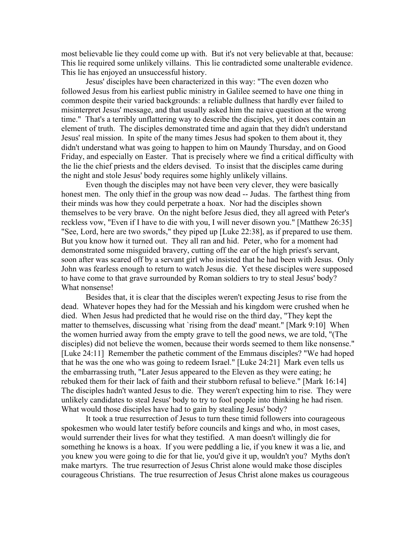most believable lie they could come up with. But it's not very believable at that, because: This lie required some unlikely villains. This lie contradicted some unalterable evidence. This lie has enjoyed an unsuccessful history.

Jesus' disciples have been characterized in this way: "The even dozen who followed Jesus from his earliest public ministry in Galilee seemed to have one thing in common despite their varied backgrounds: a reliable dullness that hardly ever failed to misinterpret Jesus' message, and that usually asked him the naive question at the wrong time." That's a terribly unflattering way to describe the disciples, yet it does contain an element of truth. The disciples demonstrated time and again that they didn't understand Jesus' real mission. In spite of the many times Jesus had spoken to them about it, they didn't understand what was going to happen to him on Maundy Thursday, and on Good Friday, and especially on Easter. That is precisely where we find a critical difficulty with the lie the chief priests and the elders devised. To insist that the disciples came during the night and stole Jesus' body requires some highly unlikely villains.

Even though the disciples may not have been very clever, they were basically honest men. The only thief in the group was now dead -- Judas. The farthest thing from their minds was how they could perpetrate a hoax. Nor had the disciples shown themselves to be very brave. On the night before Jesus died, they all agreed with Peter's reckless vow, "Even if I have to die with you, I will never disown you." [Matthew 26:35] "See, Lord, here are two swords," they piped up [Luke 22:38], as if prepared to use them. But you know how it turned out. They all ran and hid. Peter, who for a moment had demonstrated some misguided bravery, cutting off the ear of the high priest's servant, soon after was scared off by a servant girl who insisted that he had been with Jesus. Only John was fearless enough to return to watch Jesus die. Yet these disciples were supposed to have come to that grave surrounded by Roman soldiers to try to steal Jesus' body? What nonsense!

Besides that, it is clear that the disciples weren't expecting Jesus to rise from the dead. Whatever hopes they had for the Messiah and his kingdom were crushed when he died. When Jesus had predicted that he would rise on the third day, "They kept the matter to themselves, discussing what `rising from the dead' meant." [Mark 9:10] When the women hurried away from the empty grave to tell the good news, we are told, "(The disciples) did not believe the women, because their words seemed to them like nonsense." [Luke 24:11] Remember the pathetic comment of the Emmaus disciples? "We had hoped that he was the one who was going to redeem Israel." [Luke 24:21] Mark even tells us the embarrassing truth, "Later Jesus appeared to the Eleven as they were eating; he rebuked them for their lack of faith and their stubborn refusal to believe." [Mark 16:14] The disciples hadn't wanted Jesus to die. They weren't expecting him to rise. They were unlikely candidates to steal Jesus' body to try to fool people into thinking he had risen. What would those disciples have had to gain by stealing Jesus' body?

It took a true resurrection of Jesus to turn these timid followers into courageous spokesmen who would later testify before councils and kings and who, in most cases, would surrender their lives for what they testified. A man doesn't willingly die for something he knows is a hoax. If you were peddling a lie, if you knew it was a lie, and you knew you were going to die for that lie, you'd give it up, wouldn't you? Myths don't make martyrs. The true resurrection of Jesus Christ alone would make those disciples courageous Christians. The true resurrection of Jesus Christ alone makes us courageous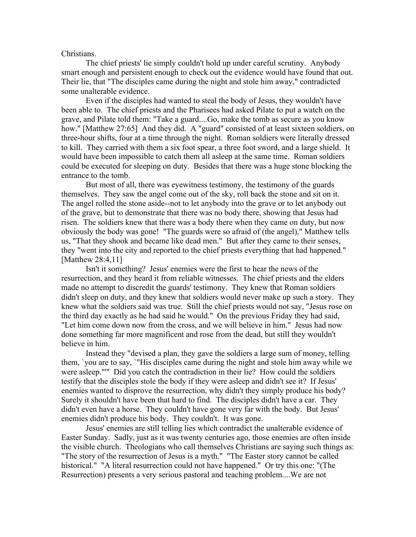## Christians.

The chief priests' lie simply couldn't hold up under careful scrutiny. Anybody smart enough and persistent enough to check out the evidence would have found that out. Their lie, that "The disciples came during the night and stole him away," contradicted some unalterable evidence.

Even if the disciples had wanted to steal the body of Jesus, they wouldn't have been able to. The chief priests and the Pharisees had asked Pilate to put a watch on the grave, and Pilate told them: "Take a guard....Go, make the tomb as secure as you know how." [Matthew 27:65] And they did. A "guard" consisted of at least sixteen soldiers, on three-hour shifts, four at a time through the night. Roman soldiers were literally dressed to kill. They carried with them a six foot spear, a three foot sword, and a large shield. It would have been impossible to catch them all asleep at the same time. Roman soldiers could be executed for sleeping on duty. Besides that there was a huge stone blocking the entrance to the tomb.

But most of all, there was eyewitness testimony, the testimony of the guards themselves. They saw the angel come out of the sky, roll back the stone and sit on it. The angel rolled the stone aside--not to let anybody into the grave or to let anybody out of the grave, but to demonstrate that there was no body there, showing that Jesus had risen. The soldiers knew that there was a body there when they came on duty, but now obviously the body was gone! "The guards were so afraid of (the angel)," Matthew tells us, "That they shook and became like dead men." But after they came to their senses, they "went into the city and reported to the chief priests everything that had happened." [Matthew 28:4,11]

Isn't it something? Jesus' enemies were the first to hear the news of the resurrection, and they heard it from reliable witnesses. The chief priests and the elders made no attempt to discredit the guards' testimony. They knew that Roman soldiers didn't sleep on duty, and they knew that soldiers would never make up such a story. They knew what the soldiers said was true. Still the chief priests would not say, "Jesus rose on the third day exactly as he had said he would." On the previous Friday they had said, "Let him come down now from the cross, and we will believe in him." Jesus had now done something far more magnificent and rose from the dead, but still they wouldn't believe in him.

Instead they "devised a plan, they gave the soldiers a large sum of money, telling them, `you are to say, `"His disciples came during the night and stole him away while we were asleep."'" Did you catch the contradiction in their lie? How could the soldiers testify that the disciples stole the body if they were asleep and didn't see it? If Jesus' enemies wanted to disprove the resurrection, why didn't they simply produce his body? Surely it shouldn't have been that hard to find. The disciples didn't have a car. They didn't even have a horse. They couldn't have gone very far with the body. But Jesus' enemies didn't produce his body. They couldn't. It was gone.

Jesus' enemies are still telling lies which contradict the unalterable evidence of Easter Sunday. Sadly, just as it was twenty centuries ago, those enemies are often inside the visible church. Theologians who call themselves Christians are saying such things as: "The story of the resurrection of Jesus is a myth." "The Easter story cannot be called historical." "A literal resurrection could not have happened." Or try this one: "(The Resurrection) presents a very serious pastoral and teaching problem....We are not